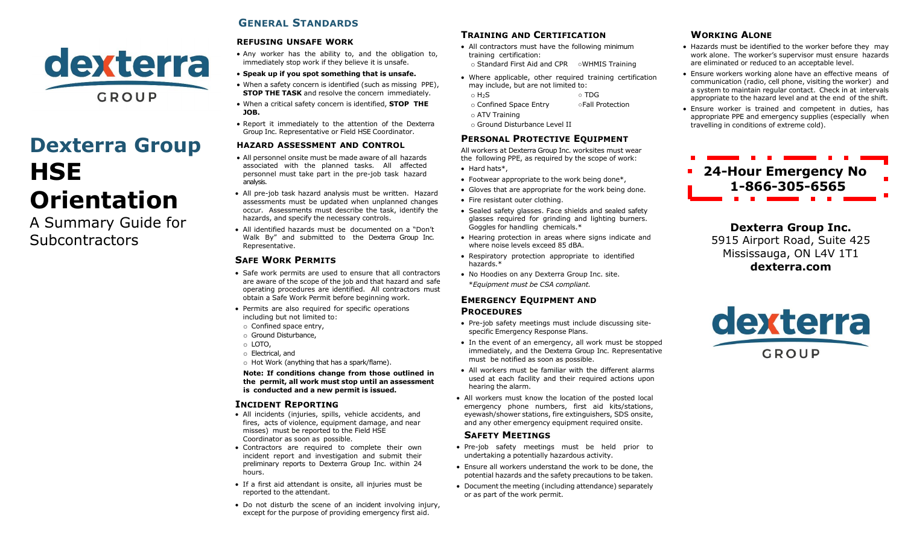

# **Dexterra Group HSE Orientation**

A Summary Guide for **Subcontractors** 

# **GENERAL STANDARDS**

#### **REFUSING UNSAFE WORK**

- Any worker has the ability to, and the obligation to, immediately stop work if they believe it is unsafe.
- **Speak up if you spot something that is unsafe.**
- When a safety concern is identified (such as missing PPE), **STOP THE TASK** and resolve the concern immediately.
- When a critical safety concern is identified, **STOP THE JOB.**
- Report it immediately to the attention of the Dexterra Group Inc. Representative or Field HSE Coordinator.

#### **HAZARD ASSESSMENT AND CONTROL**

- All personnel onsite must be made aware of all hazards associated with the planned tasks. All affected personnel must take part in the pre-job task hazard analysis.
- All pre-job task hazard analysis must be written. Hazard assessments must be updated when unplanned changes occur. Assessments must describe the task, identify the hazards, and specify the necessary controls.
- All identified hazards must be documented on a "Don't Walk By" and submitted to the Dexterra Group Inc. Representative.

### **SAFE WORK PERMITS**

- Safe work permits are used to ensure that all contractors are aware of the scope of the job and that hazard and safe operating procedures are identified. All contractors must obtain a Safe Work Permit before beginning work.
- Permits are also required for specific operations including but not limited to:
- o Confined space entry,
- o Ground Disturbance,
- o LOTO,
- o Electrical, and
- o Hot Work (anything that has a spark/flame).

**Note: If conditions change from those outlined in the permit, all work must stop until an assessment is conducted and a new permit is issued.**

#### **INCIDENT REPORTING**

- All incidents (injuries, spills, vehicle accidents, and fires, acts of violence, equipment damage, and near misses) must be reported to the Field HSE Coordinator as soon as possible.
- Contractors are required to complete their own incident report and investigation and submit their preliminary reports to Dexterra Group Inc. within 24 hours.
- If a first aid attendant is onsite, all injuries must be reported to the attendant.
- Do not disturb the scene of an incident involving injury, except for the purpose of providing emergency first aid.

# **TRAINING AND CERTIFICATION**

- All contractors must have the following minimum training certification: o Standard First Aid and CPR ○WHMIS Training
- Where applicable, other required training certification may include, but are not limited to:
- o H<sub>2</sub>S o TDG
- o Confined Space Entry ○Fall Protection o ATV Training
- o Ground Disturbance Level II

# **PERSONAL PROTECTIVE EQUIPMENT**

All workers at Dexterra Group Inc. worksites must wear the following PPE, as required by the scope of work:

- Hard hats\*,
- Footwear appropriate to the work being done\*,
- Gloves that are appropriate for the work being done.
- Fire resistant outer clothing.
- Sealed safety glasses. Face shields and sealed safety glasses required for grinding and lighting burners. Goggles for handling chemicals.\*
- Hearing protection in areas where signs indicate and where noise levels exceed 85 dBA.
- Respiratory protection appropriate to identified hazards.\*
- No Hoodies on any Dexterra Group Inc. site. \**Equipment must be CSA compliant.*

#### **EMERGENCY EQUIPMENT AND PROCEDURES**

- Pre-job safety meetings must include discussing sitespecific Emergency Response Plans.
- In the event of an emergency, all work must be stopped immediately, and the Dexterra Group Inc. Representative must be notified as soon as possible.
- All workers must be familiar with the different alarms used at each facility and their required actions upon hearing the alarm.
- All workers must know the location of the posted local emergency phone numbers, first aid kits/stations, eyewash/shower stations, fire extinguishers, SDS onsite, and any other emergency equipment required onsite.

#### **SAFETY MEETINGS**

- Pre-job safety meetings must be held prior to undertaking a potentially hazardous activity.
- Ensure all workers understand the work to be done, the potential hazards and the safety precautions to be taken.
- Document the meeting (including attendance) separately or as part of the work permit.

# **WORKING ALONE**

- Hazards must be identified to the worker before they may work alone. The worker's supervisor must ensure hazards are eliminated or reduced to an acceptable level.
- Ensure workers working alone have an effective means of communication (radio, cell phone, visiting the worker) and a system to maintain regular contact. Check in at intervals appropriate to the hazard level and at the end of the shift.
- Ensure worker is trained and competent in duties, has appropriate PPE and emergency supplies (especially when travelling in conditions of extreme cold).

# **24-Hour Emergency No 1-866-305-6565**

**Dexterra Group Inc.** 5915 Airport Road, Suite 425 Mississauga, ON L4V 1T1 **dexterra.com**